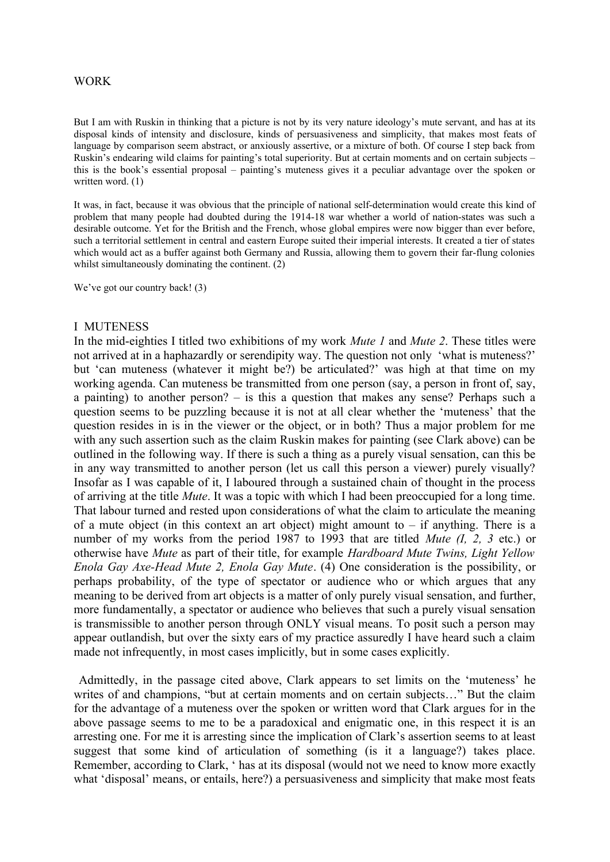#### WORK

But I am with Ruskin in thinking that a picture is not by its very nature ideology's mute servant, and has at its disposal kinds of intensity and disclosure, kinds of persuasiveness and simplicity, that makes most feats of language by comparison seem abstract, or anxiously assertive, or a mixture of both. Of course I step back from Ruskin's endearing wild claims for painting's total superiority. But at certain moments and on certain subjects – this is the book's essential proposal – painting's muteness gives it a peculiar advantage over the spoken or written word. (1)

It was, in fact, because it was obvious that the principle of national self-determination would create this kind of problem that many people had doubted during the 1914-18 war whether a world of nation-states was such a desirable outcome. Yet for the British and the French, whose global empires were now bigger than ever before, such a territorial settlement in central and eastern Europe suited their imperial interests. It created a tier of states which would act as a buffer against both Germany and Russia, allowing them to govern their far-flung colonies whilst simultaneously dominating the continent. (2)

We've got our country back! (3)

## I MUTENESS

In the mid-eighties I titled two exhibitions of my work *Mute 1* and *Mute 2*. These titles were not arrived at in a haphazardly or serendipity way. The question not only 'what is muteness?' but 'can muteness (whatever it might be?) be articulated?' was high at that time on my working agenda. Can muteness be transmitted from one person (say, a person in front of, say, a painting) to another person? – is this a question that makes any sense? Perhaps such a question seems to be puzzling because it is not at all clear whether the 'muteness' that the question resides in is in the viewer or the object, or in both? Thus a major problem for me with any such assertion such as the claim Ruskin makes for painting (see Clark above) can be outlined in the following way. If there is such a thing as a purely visual sensation, can this be in any way transmitted to another person (let us call this person a viewer) purely visually? Insofar as I was capable of it, I laboured through a sustained chain of thought in the process of arriving at the title *Mute*. It was a topic with which I had been preoccupied for a long time. That labour turned and rested upon considerations of what the claim to articulate the meaning of a mute object (in this context an art object) might amount to  $-$  if anything. There is a number of my works from the period 1987 to 1993 that are titled *Mute (I, 2, 3* etc.) or otherwise have *Mute* as part of their title, for example *Hardboard Mute Twins, Light Yellow Enola Gay Axe-Head Mute 2, Enola Gay Mute*. (4) One consideration is the possibility, or perhaps probability, of the type of spectator or audience who or which argues that any meaning to be derived from art objects is a matter of only purely visual sensation, and further, more fundamentally, a spectator or audience who believes that such a purely visual sensation is transmissible to another person through ONLY visual means. To posit such a person may appear outlandish, but over the sixty ears of my practice assuredly I have heard such a claim made not infrequently, in most cases implicitly, but in some cases explicitly.

 Admittedly, in the passage cited above, Clark appears to set limits on the 'muteness' he writes of and champions, "but at certain moments and on certain subjects…" But the claim for the advantage of a muteness over the spoken or written word that Clark argues for in the above passage seems to me to be a paradoxical and enigmatic one, in this respect it is an arresting one. For me it is arresting since the implication of Clark's assertion seems to at least suggest that some kind of articulation of something (is it a language?) takes place. Remember, according to Clark, ' has at its disposal (would not we need to know more exactly what 'disposal' means, or entails, here?) a persuasiveness and simplicity that make most feats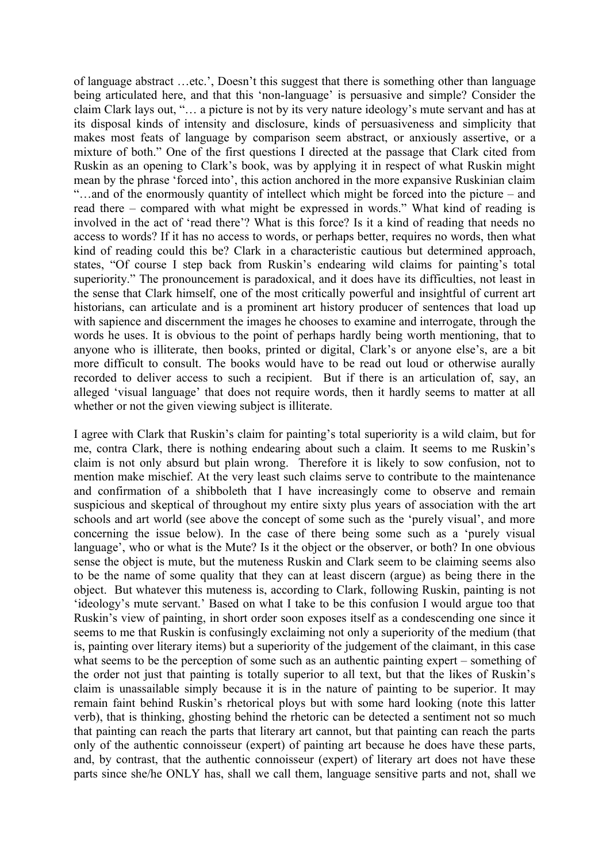of language abstract …etc.', Doesn't this suggest that there is something other than language being articulated here, and that this 'non-language' is persuasive and simple? Consider the claim Clark lays out, "… a picture is not by its very nature ideology's mute servant and has at its disposal kinds of intensity and disclosure, kinds of persuasiveness and simplicity that makes most feats of language by comparison seem abstract, or anxiously assertive, or a mixture of both." One of the first questions I directed at the passage that Clark cited from Ruskin as an opening to Clark's book, was by applying it in respect of what Ruskin might mean by the phrase 'forced into', this action anchored in the more expansive Ruskinian claim "…and of the enormously quantity of intellect which might be forced into the picture – and read there – compared with what might be expressed in words." What kind of reading is involved in the act of 'read there'? What is this force? Is it a kind of reading that needs no access to words? If it has no access to words, or perhaps better, requires no words, then what kind of reading could this be? Clark in a characteristic cautious but determined approach, states, "Of course I step back from Ruskin's endearing wild claims for painting's total superiority." The pronouncement is paradoxical, and it does have its difficulties, not least in the sense that Clark himself, one of the most critically powerful and insightful of current art historians, can articulate and is a prominent art history producer of sentences that load up with sapience and discernment the images he chooses to examine and interrogate, through the words he uses. It is obvious to the point of perhaps hardly being worth mentioning, that to anyone who is illiterate, then books, printed or digital, Clark's or anyone else's, are a bit more difficult to consult. The books would have to be read out loud or otherwise aurally recorded to deliver access to such a recipient. But if there is an articulation of, say, an alleged 'visual language' that does not require words, then it hardly seems to matter at all whether or not the given viewing subject is illiterate.

I agree with Clark that Ruskin's claim for painting's total superiority is a wild claim, but for me, contra Clark, there is nothing endearing about such a claim. It seems to me Ruskin's claim is not only absurd but plain wrong. Therefore it is likely to sow confusion, not to mention make mischief. At the very least such claims serve to contribute to the maintenance and confirmation of a shibboleth that I have increasingly come to observe and remain suspicious and skeptical of throughout my entire sixty plus years of association with the art schools and art world (see above the concept of some such as the 'purely visual', and more concerning the issue below). In the case of there being some such as a 'purely visual language', who or what is the Mute? Is it the object or the observer, or both? In one obvious sense the object is mute, but the muteness Ruskin and Clark seem to be claiming seems also to be the name of some quality that they can at least discern (argue) as being there in the object. But whatever this muteness is, according to Clark, following Ruskin, painting is not 'ideology's mute servant.' Based on what I take to be this confusion I would argue too that Ruskin's view of painting, in short order soon exposes itself as a condescending one since it seems to me that Ruskin is confusingly exclaiming not only a superiority of the medium (that is, painting over literary items) but a superiority of the judgement of the claimant, in this case what seems to be the perception of some such as an authentic painting expert – something of the order not just that painting is totally superior to all text, but that the likes of Ruskin's claim is unassailable simply because it is in the nature of painting to be superior. It may remain faint behind Ruskin's rhetorical ploys but with some hard looking (note this latter verb), that is thinking, ghosting behind the rhetoric can be detected a sentiment not so much that painting can reach the parts that literary art cannot, but that painting can reach the parts only of the authentic connoisseur (expert) of painting art because he does have these parts, and, by contrast, that the authentic connoisseur (expert) of literary art does not have these parts since she/he ONLY has, shall we call them, language sensitive parts and not, shall we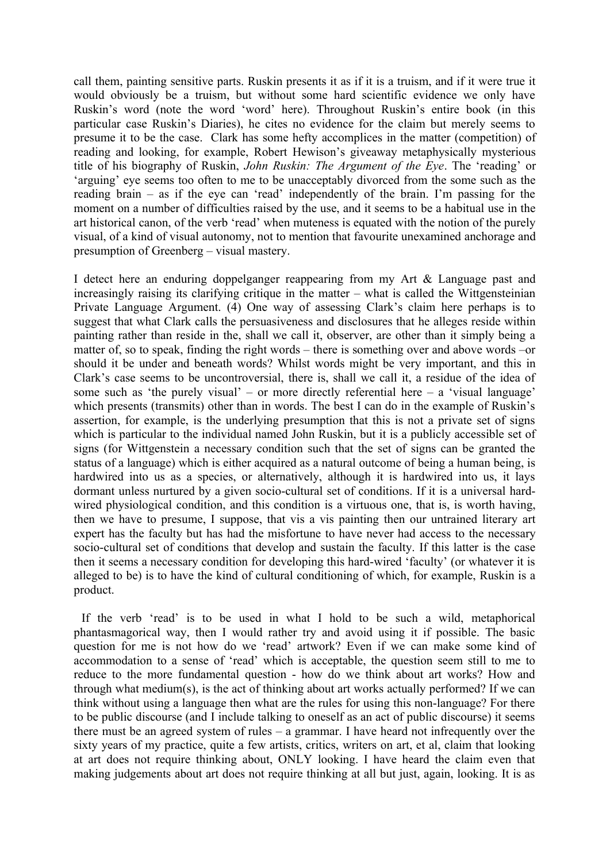call them, painting sensitive parts. Ruskin presents it as if it is a truism, and if it were true it would obviously be a truism, but without some hard scientific evidence we only have Ruskin's word (note the word 'word' here). Throughout Ruskin's entire book (in this particular case Ruskin's Diaries), he cites no evidence for the claim but merely seems to presume it to be the case. Clark has some hefty accomplices in the matter (competition) of reading and looking, for example, Robert Hewison's giveaway metaphysically mysterious title of his biography of Ruskin, *John Ruskin: The Argument of the Eye*. The 'reading' or 'arguing' eye seems too often to me to be unacceptably divorced from the some such as the reading brain – as if the eye can 'read' independently of the brain. I'm passing for the moment on a number of difficulties raised by the use, and it seems to be a habitual use in the art historical canon, of the verb 'read' when muteness is equated with the notion of the purely visual, of a kind of visual autonomy, not to mention that favourite unexamined anchorage and presumption of Greenberg – visual mastery.

I detect here an enduring doppelganger reappearing from my Art & Language past and increasingly raising its clarifying critique in the matter – what is called the Wittgensteinian Private Language Argument. (4) One way of assessing Clark's claim here perhaps is to suggest that what Clark calls the persuasiveness and disclosures that he alleges reside within painting rather than reside in the, shall we call it, observer, are other than it simply being a matter of, so to speak, finding the right words – there is something over and above words –or should it be under and beneath words? Whilst words might be very important, and this in Clark's case seems to be uncontroversial, there is, shall we call it, a residue of the idea of some such as 'the purely visual' – or more directly referential here – a 'visual language' which presents (transmits) other than in words. The best I can do in the example of Ruskin's assertion, for example, is the underlying presumption that this is not a private set of signs which is particular to the individual named John Ruskin, but it is a publicly accessible set of signs (for Wittgenstein a necessary condition such that the set of signs can be granted the status of a language) which is either acquired as a natural outcome of being a human being, is hardwired into us as a species, or alternatively, although it is hardwired into us, it lays dormant unless nurtured by a given socio-cultural set of conditions. If it is a universal hardwired physiological condition, and this condition is a virtuous one, that is, is worth having, then we have to presume, I suppose, that vis a vis painting then our untrained literary art expert has the faculty but has had the misfortune to have never had access to the necessary socio-cultural set of conditions that develop and sustain the faculty. If this latter is the case then it seems a necessary condition for developing this hard-wired 'faculty' (or whatever it is alleged to be) is to have the kind of cultural conditioning of which, for example, Ruskin is a product.

 If the verb 'read' is to be used in what I hold to be such a wild, metaphorical phantasmagorical way, then I would rather try and avoid using it if possible. The basic question for me is not how do we 'read' artwork? Even if we can make some kind of accommodation to a sense of 'read' which is acceptable, the question seem still to me to reduce to the more fundamental question - how do we think about art works? How and through what medium(s), is the act of thinking about art works actually performed? If we can think without using a language then what are the rules for using this non-language? For there to be public discourse (and I include talking to oneself as an act of public discourse) it seems there must be an agreed system of rules – a grammar. I have heard not infrequently over the sixty years of my practice, quite a few artists, critics, writers on art, et al, claim that looking at art does not require thinking about, ONLY looking. I have heard the claim even that making judgements about art does not require thinking at all but just, again, looking. It is as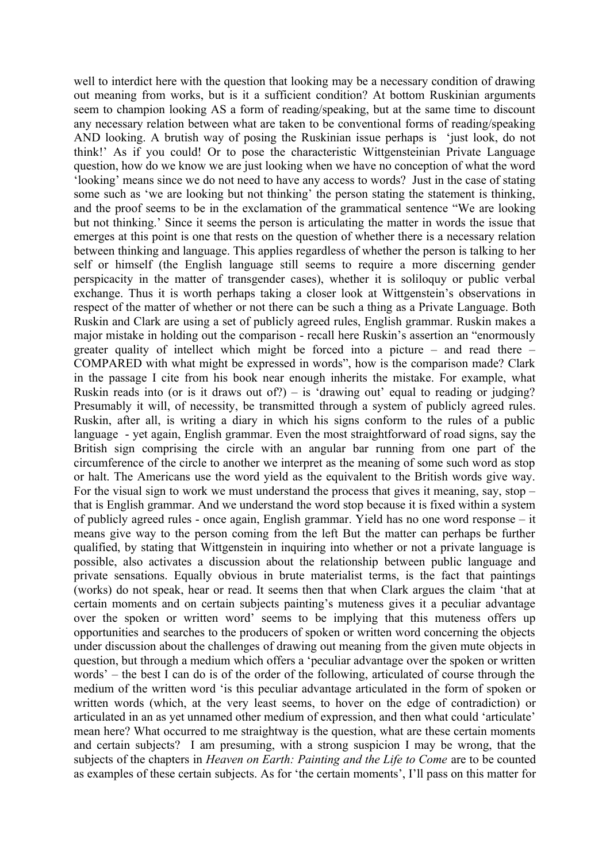well to interdict here with the question that looking may be a necessary condition of drawing out meaning from works, but is it a sufficient condition? At bottom Ruskinian arguments seem to champion looking AS a form of reading/speaking, but at the same time to discount any necessary relation between what are taken to be conventional forms of reading/speaking AND looking. A brutish way of posing the Ruskinian issue perhaps is 'just look, do not think!' As if you could! Or to pose the characteristic Wittgensteinian Private Language question, how do we know we are just looking when we have no conception of what the word 'looking' means since we do not need to have any access to words? Just in the case of stating some such as 'we are looking but not thinking' the person stating the statement is thinking, and the proof seems to be in the exclamation of the grammatical sentence "We are looking but not thinking.' Since it seems the person is articulating the matter in words the issue that emerges at this point is one that rests on the question of whether there is a necessary relation between thinking and language. This applies regardless of whether the person is talking to her self or himself (the English language still seems to require a more discerning gender perspicacity in the matter of transgender cases), whether it is soliloquy or public verbal exchange. Thus it is worth perhaps taking a closer look at Wittgenstein's observations in respect of the matter of whether or not there can be such a thing as a Private Language. Both Ruskin and Clark are using a set of publicly agreed rules, English grammar. Ruskin makes a major mistake in holding out the comparison - recall here Ruskin's assertion an "enormously greater quality of intellect which might be forced into a picture – and read there – COMPARED with what might be expressed in words", how is the comparison made? Clark in the passage I cite from his book near enough inherits the mistake. For example, what Ruskin reads into (or is it draws out of?) – is 'drawing out' equal to reading or judging? Presumably it will, of necessity, be transmitted through a system of publicly agreed rules. Ruskin, after all, is writing a diary in which his signs conform to the rules of a public language - yet again, English grammar. Even the most straightforward of road signs, say the British sign comprising the circle with an angular bar running from one part of the circumference of the circle to another we interpret as the meaning of some such word as stop or halt. The Americans use the word yield as the equivalent to the British words give way. For the visual sign to work we must understand the process that gives it meaning, say, stop – that is English grammar. And we understand the word stop because it is fixed within a system of publicly agreed rules - once again, English grammar. Yield has no one word response – it means give way to the person coming from the left But the matter can perhaps be further qualified, by stating that Wittgenstein in inquiring into whether or not a private language is possible, also activates a discussion about the relationship between public language and private sensations. Equally obvious in brute materialist terms, is the fact that paintings (works) do not speak, hear or read. It seems then that when Clark argues the claim 'that at certain moments and on certain subjects painting's muteness gives it a peculiar advantage over the spoken or written word' seems to be implying that this muteness offers up opportunities and searches to the producers of spoken or written word concerning the objects under discussion about the challenges of drawing out meaning from the given mute objects in question, but through a medium which offers a 'peculiar advantage over the spoken or written words' – the best I can do is of the order of the following, articulated of course through the medium of the written word 'is this peculiar advantage articulated in the form of spoken or written words (which, at the very least seems, to hover on the edge of contradiction) or articulated in an as yet unnamed other medium of expression, and then what could 'articulate' mean here? What occurred to me straightway is the question, what are these certain moments and certain subjects? I am presuming, with a strong suspicion I may be wrong, that the subjects of the chapters in *Heaven on Earth: Painting and the Life to Come* are to be counted as examples of these certain subjects. As for 'the certain moments', I'll pass on this matter for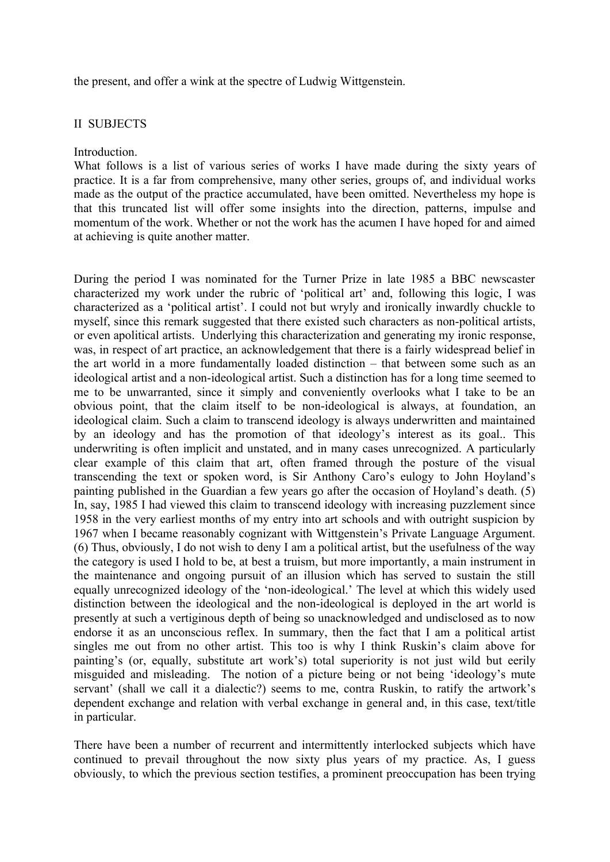the present, and offer a wink at the spectre of Ludwig Wittgenstein.

## II SUBJECTS

#### Introduction.

What follows is a list of various series of works I have made during the sixty years of practice. It is a far from comprehensive, many other series, groups of, and individual works made as the output of the practice accumulated, have been omitted. Nevertheless my hope is that this truncated list will offer some insights into the direction, patterns, impulse and momentum of the work. Whether or not the work has the acumen I have hoped for and aimed at achieving is quite another matter.

During the period I was nominated for the Turner Prize in late 1985 a BBC newscaster characterized my work under the rubric of 'political art' and, following this logic, I was characterized as a 'political artist'. I could not but wryly and ironically inwardly chuckle to myself, since this remark suggested that there existed such characters as non-political artists, or even apolitical artists. Underlying this characterization and generating my ironic response, was, in respect of art practice, an acknowledgement that there is a fairly widespread belief in the art world in a more fundamentally loaded distinction – that between some such as an ideological artist and a non-ideological artist. Such a distinction has for a long time seemed to me to be unwarranted, since it simply and conveniently overlooks what I take to be an obvious point, that the claim itself to be non-ideological is always, at foundation, an ideological claim. Such a claim to transcend ideology is always underwritten and maintained by an ideology and has the promotion of that ideology's interest as its goal.. This underwriting is often implicit and unstated, and in many cases unrecognized. A particularly clear example of this claim that art, often framed through the posture of the visual transcending the text or spoken word, is Sir Anthony Caro's eulogy to John Hoyland's painting published in the Guardian a few years go after the occasion of Hoyland's death. (5) In, say, 1985 I had viewed this claim to transcend ideology with increasing puzzlement since 1958 in the very earliest months of my entry into art schools and with outright suspicion by 1967 when I became reasonably cognizant with Wittgenstein's Private Language Argument. (6) Thus, obviously, I do not wish to deny I am a political artist, but the usefulness of the way the category is used I hold to be, at best a truism, but more importantly, a main instrument in the maintenance and ongoing pursuit of an illusion which has served to sustain the still equally unrecognized ideology of the 'non-ideological.' The level at which this widely used distinction between the ideological and the non-ideological is deployed in the art world is presently at such a vertiginous depth of being so unacknowledged and undisclosed as to now endorse it as an unconscious reflex. In summary, then the fact that I am a political artist singles me out from no other artist. This too is why I think Ruskin's claim above for painting's (or, equally, substitute art work's) total superiority is not just wild but eerily misguided and misleading. The notion of a picture being or not being 'ideology's mute servant' (shall we call it a dialectic?) seems to me, contra Ruskin, to ratify the artwork's dependent exchange and relation with verbal exchange in general and, in this case, text/title in particular.

There have been a number of recurrent and intermittently interlocked subjects which have continued to prevail throughout the now sixty plus years of my practice. As, I guess obviously, to which the previous section testifies, a prominent preoccupation has been trying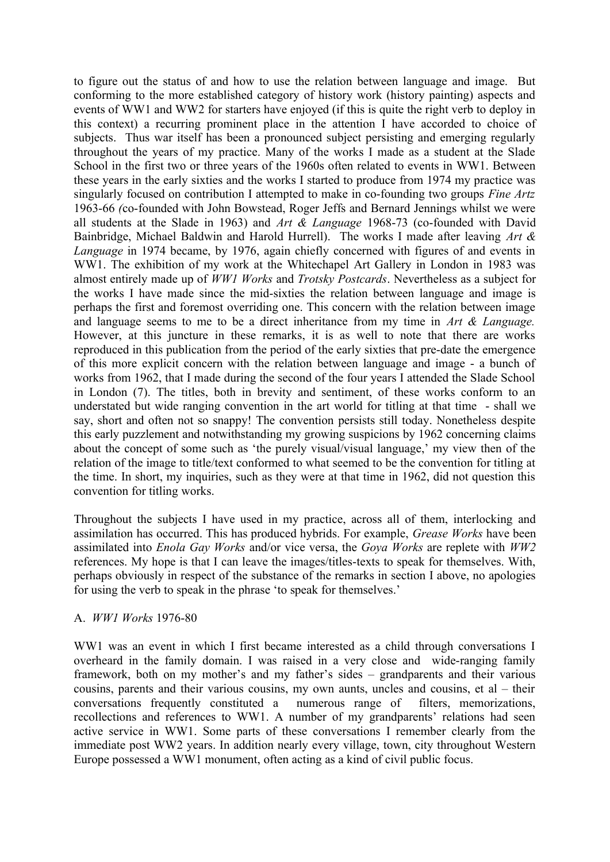to figure out the status of and how to use the relation between language and image. But conforming to the more established category of history work (history painting) aspects and events of WW1 and WW2 for starters have enjoyed (if this is quite the right verb to deploy in this context) a recurring prominent place in the attention I have accorded to choice of subjects. Thus war itself has been a pronounced subject persisting and emerging regularly throughout the years of my practice. Many of the works I made as a student at the Slade School in the first two or three years of the 1960s often related to events in WW1. Between these years in the early sixties and the works I started to produce from 1974 my practice was singularly focused on contribution I attempted to make in co-founding two groups *Fine Artz* 1963-66 *(*co-founded with John Bowstead, Roger Jeffs and Bernard Jennings whilst we were all students at the Slade in 1963) and *Art & Language* 1968-73 (co-founded with David Bainbridge, Michael Baldwin and Harold Hurrell). The works I made after leaving *Art & Language* in 1974 became, by 1976, again chiefly concerned with figures of and events in WW1. The exhibition of my work at the Whitechapel Art Gallery in London in 1983 was almost entirely made up of *WW1 Works* and *Trotsky Postcards*. Nevertheless as a subject for the works I have made since the mid-sixties the relation between language and image is perhaps the first and foremost overriding one. This concern with the relation between image and language seems to me to be a direct inheritance from my time in *Art & Language.* However, at this juncture in these remarks, it is as well to note that there are works reproduced in this publication from the period of the early sixties that pre-date the emergence of this more explicit concern with the relation between language and image - a bunch of works from 1962, that I made during the second of the four years I attended the Slade School in London (7). The titles, both in brevity and sentiment, of these works conform to an understated but wide ranging convention in the art world for titling at that time - shall we say, short and often not so snappy! The convention persists still today. Nonetheless despite this early puzzlement and notwithstanding my growing suspicions by 1962 concerning claims about the concept of some such as 'the purely visual/visual language,' my view then of the relation of the image to title/text conformed to what seemed to be the convention for titling at the time. In short, my inquiries, such as they were at that time in 1962, did not question this convention for titling works.

Throughout the subjects I have used in my practice, across all of them, interlocking and assimilation has occurred. This has produced hybrids. For example, *Grease Works* have been assimilated into *Enola Gay Works* and/or vice versa, the *Goya Works* are replete with *WW2* references. My hope is that I can leave the images/titles-texts to speak for themselves. With, perhaps obviously in respect of the substance of the remarks in section I above, no apologies for using the verb to speak in the phrase 'to speak for themselves.'

# A. *WW1 Works* 1976-80

WW1 was an event in which I first became interested as a child through conversations I overheard in the family domain. I was raised in a very close and wide-ranging family framework, both on my mother's and my father's sides – grandparents and their various cousins, parents and their various cousins, my own aunts, uncles and cousins, et al – their conversations frequently constituted a numerous range of filters, memorizations, recollections and references to WW1. A number of my grandparents' relations had seen active service in WW1. Some parts of these conversations I remember clearly from the immediate post WW2 years. In addition nearly every village, town, city throughout Western Europe possessed a WW1 monument, often acting as a kind of civil public focus.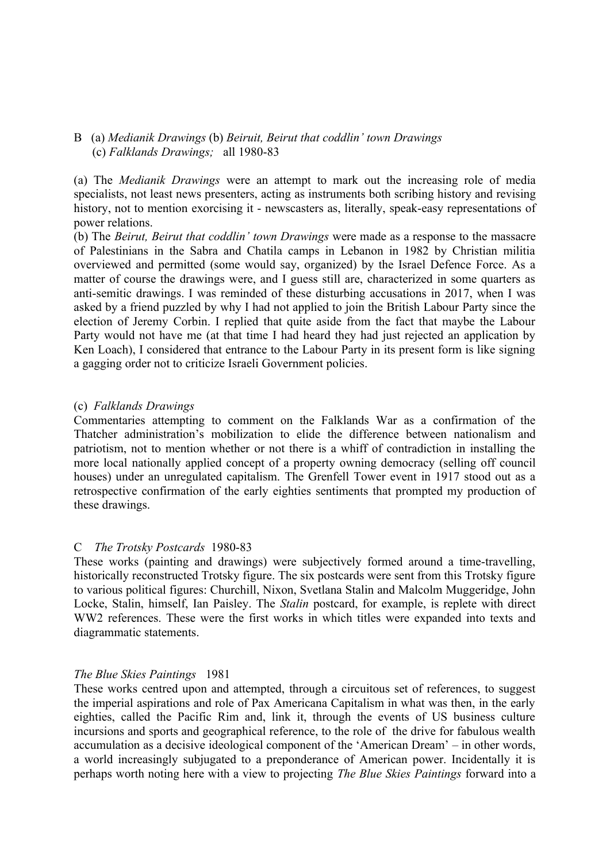# B (a) *Medianik Drawings* (b) *Beiruit, Beirut that coddlin' town Drawings*  (c) *Falklands Drawings;* all 1980-83

(a) The *Medianik Drawings* were an attempt to mark out the increasing role of media specialists, not least news presenters, acting as instruments both scribing history and revising history, not to mention exorcising it - newscasters as, literally, speak-easy representations of power relations.

(b) The *Beirut, Beirut that coddlin' town Drawings* were made as a response to the massacre of Palestinians in the Sabra and Chatila camps in Lebanon in 1982 by Christian militia overviewed and permitted (some would say, organized) by the Israel Defence Force. As a matter of course the drawings were, and I guess still are, characterized in some quarters as anti-semitic drawings. I was reminded of these disturbing accusations in 2017, when I was asked by a friend puzzled by why I had not applied to join the British Labour Party since the election of Jeremy Corbin. I replied that quite aside from the fact that maybe the Labour Party would not have me (at that time I had heard they had just rejected an application by Ken Loach), I considered that entrance to the Labour Party in its present form is like signing a gagging order not to criticize Israeli Government policies.

### (c) *Falklands Drawings*

Commentaries attempting to comment on the Falklands War as a confirmation of the Thatcher administration's mobilization to elide the difference between nationalism and patriotism, not to mention whether or not there is a whiff of contradiction in installing the more local nationally applied concept of a property owning democracy (selling off council houses) under an unregulated capitalism. The Grenfell Tower event in 1917 stood out as a retrospective confirmation of the early eighties sentiments that prompted my production of these drawings.

### C *The Trotsky Postcards* 1980-83

These works (painting and drawings) were subjectively formed around a time-travelling, historically reconstructed Trotsky figure. The six postcards were sent from this Trotsky figure to various political figures: Churchill, Nixon, Svetlana Stalin and Malcolm Muggeridge, John Locke, Stalin, himself, Ian Paisley. The *Stalin* postcard, for example, is replete with direct WW2 references. These were the first works in which titles were expanded into texts and diagrammatic statements.

### *The Blue Skies Paintings* 1981

These works centred upon and attempted, through a circuitous set of references, to suggest the imperial aspirations and role of Pax Americana Capitalism in what was then, in the early eighties, called the Pacific Rim and, link it, through the events of US business culture incursions and sports and geographical reference, to the role of the drive for fabulous wealth accumulation as a decisive ideological component of the 'American Dream' – in other words, a world increasingly subjugated to a preponderance of American power. Incidentally it is perhaps worth noting here with a view to projecting *The Blue Skies Paintings* forward into a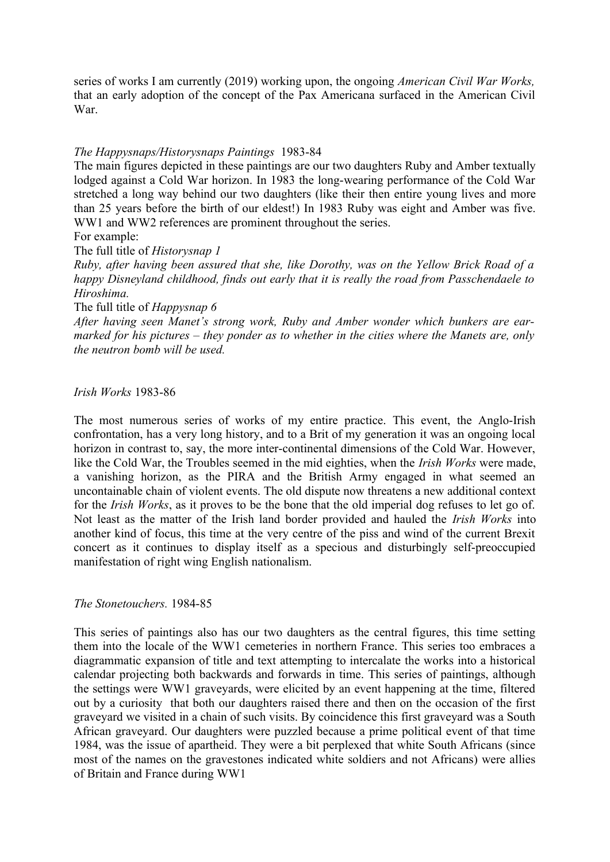series of works I am currently (2019) working upon, the ongoing *American Civil War Works,* that an early adoption of the concept of the Pax Americana surfaced in the American Civil War.

# *The Happysnaps/Historysnaps Paintings* 1983-84

The main figures depicted in these paintings are our two daughters Ruby and Amber textually lodged against a Cold War horizon. In 1983 the long-wearing performance of the Cold War stretched a long way behind our two daughters (like their then entire young lives and more than 25 years before the birth of our eldest!) In 1983 Ruby was eight and Amber was five. WW1 and WW2 references are prominent throughout the series.

For example:

The full title of *Historysnap 1*

*Ruby, after having been assured that she, like Dorothy, was on the Yellow Brick Road of a happy Disneyland childhood, finds out early that it is really the road from Passchendaele to Hiroshima.*

The full title of *Happysnap 6*

*After having seen Manet's strong work, Ruby and Amber wonder which bunkers are earmarked for his pictures – they ponder as to whether in the cities where the Manets are, only the neutron bomb will be used.*

*Irish Works* 1983-86

The most numerous series of works of my entire practice. This event, the Anglo-Irish confrontation, has a very long history, and to a Brit of my generation it was an ongoing local horizon in contrast to, say, the more inter-continental dimensions of the Cold War. However, like the Cold War, the Troubles seemed in the mid eighties, when the *Irish Works* were made, a vanishing horizon, as the PIRA and the British Army engaged in what seemed an uncontainable chain of violent events. The old dispute now threatens a new additional context for the *Irish Works*, as it proves to be the bone that the old imperial dog refuses to let go of. Not least as the matter of the Irish land border provided and hauled the *Irish Works* into another kind of focus, this time at the very centre of the piss and wind of the current Brexit concert as it continues to display itself as a specious and disturbingly self-preoccupied manifestation of right wing English nationalism.

### *The Stonetouchers.* 1984-85

This series of paintings also has our two daughters as the central figures, this time setting them into the locale of the WW1 cemeteries in northern France. This series too embraces a diagrammatic expansion of title and text attempting to intercalate the works into a historical calendar projecting both backwards and forwards in time. This series of paintings, although the settings were WW1 graveyards, were elicited by an event happening at the time, filtered out by a curiosity that both our daughters raised there and then on the occasion of the first graveyard we visited in a chain of such visits. By coincidence this first graveyard was a South African graveyard. Our daughters were puzzled because a prime political event of that time 1984, was the issue of apartheid. They were a bit perplexed that white South Africans (since most of the names on the gravestones indicated white soldiers and not Africans) were allies of Britain and France during WW1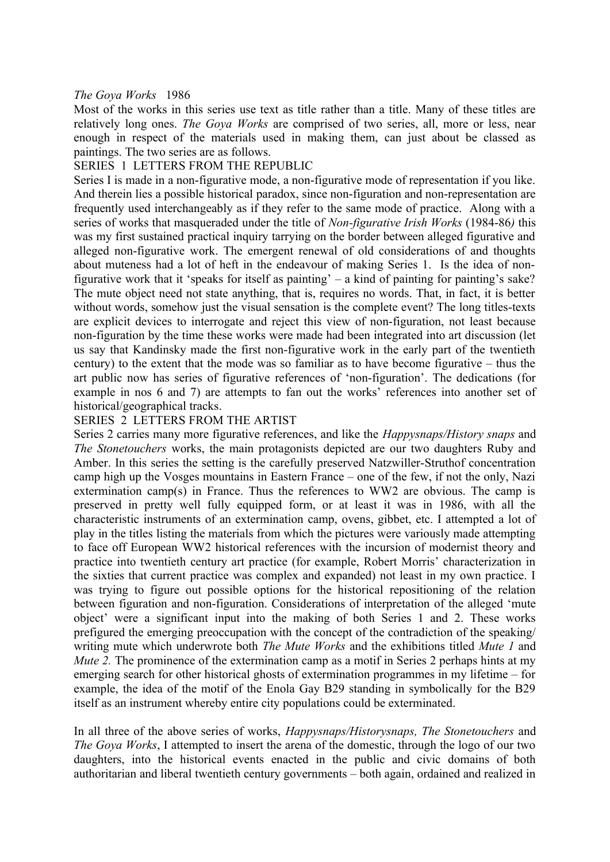# *The Goya Works* 1986

Most of the works in this series use text as title rather than a title. Many of these titles are relatively long ones. *The Goya Works* are comprised of two series, all, more or less, near enough in respect of the materials used in making them, can just about be classed as paintings. The two series are as follows.

## SERIES 1 LETTERS FROM THE REPUBLIC

Series I is made in a non-figurative mode, a non-figurative mode of representation if you like. And therein lies a possible historical paradox, since non-figuration and non-representation are frequently used interchangeably as if they refer to the same mode of practice. Along with a series of works that masqueraded under the title of *Non-figurative Irish Works* (1984-86*)* this was my first sustained practical inquiry tarrying on the border between alleged figurative and alleged non-figurative work. The emergent renewal of old considerations of and thoughts about muteness had a lot of heft in the endeavour of making Series 1. Is the idea of nonfigurative work that it 'speaks for itself as painting' – a kind of painting for painting's sake? The mute object need not state anything, that is, requires no words. That, in fact, it is better without words, somehow just the visual sensation is the complete event? The long titles-texts are explicit devices to interrogate and reject this view of non-figuration, not least because non-figuration by the time these works were made had been integrated into art discussion (let us say that Kandinsky made the first non-figurative work in the early part of the twentieth century) to the extent that the mode was so familiar as to have become figurative – thus the art public now has series of figurative references of 'non-figuration'. The dedications (for example in nos 6 and 7) are attempts to fan out the works' references into another set of historical/geographical tracks.

## SERIES 2 LETTERS FROM THE ARTIST

Series 2 carries many more figurative references, and like the *Happysnaps/History snaps* and *The Stonetouchers* works, the main protagonists depicted are our two daughters Ruby and Amber. In this series the setting is the carefully preserved Natzwiller-Struthof concentration camp high up the Vosges mountains in Eastern France – one of the few, if not the only, Nazi extermination camp(s) in France. Thus the references to WW2 are obvious. The camp is preserved in pretty well fully equipped form, or at least it was in 1986, with all the characteristic instruments of an extermination camp, ovens, gibbet, etc. I attempted a lot of play in the titles listing the materials from which the pictures were variously made attempting to face off European WW2 historical references with the incursion of modernist theory and practice into twentieth century art practice (for example, Robert Morris' characterization in the sixties that current practice was complex and expanded) not least in my own practice. I was trying to figure out possible options for the historical repositioning of the relation between figuration and non-figuration. Considerations of interpretation of the alleged 'mute object' were a significant input into the making of both Series 1 and 2. These works prefigured the emerging preoccupation with the concept of the contradiction of the speaking/ writing mute which underwrote both *The Mute Works* and the exhibitions titled *Mute 1* and *Mute 2.* The prominence of the extermination camp as a motif in Series 2 perhaps hints at my emerging search for other historical ghosts of extermination programmes in my lifetime – for example, the idea of the motif of the Enola Gay B29 standing in symbolically for the B29 itself as an instrument whereby entire city populations could be exterminated.

In all three of the above series of works, *Happysnaps/Historysnaps, The Stonetouchers* and *The Goya Works*, I attempted to insert the arena of the domestic, through the logo of our two daughters, into the historical events enacted in the public and civic domains of both authoritarian and liberal twentieth century governments – both again, ordained and realized in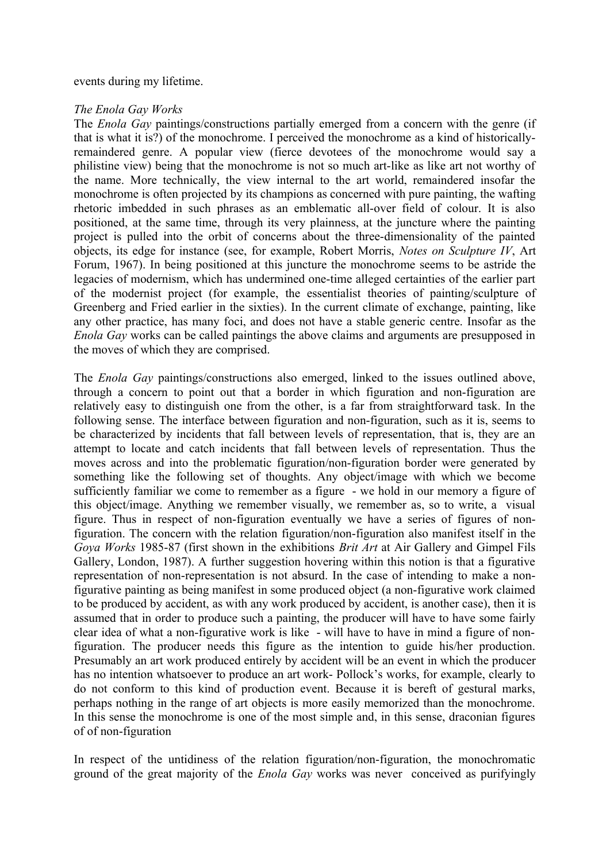## events during my lifetime.

# *The Enola Gay Works*

The *Enola Gay* paintings/constructions partially emerged from a concern with the genre (if that is what it is?) of the monochrome. I perceived the monochrome as a kind of historicallyremaindered genre. A popular view (fierce devotees of the monochrome would say a philistine view) being that the monochrome is not so much art-like as like art not worthy of the name. More technically, the view internal to the art world, remaindered insofar the monochrome is often projected by its champions as concerned with pure painting, the wafting rhetoric imbedded in such phrases as an emblematic all-over field of colour. It is also positioned, at the same time, through its very plainness, at the juncture where the painting project is pulled into the orbit of concerns about the three-dimensionality of the painted objects, its edge for instance (see, for example, Robert Morris, *Notes on Sculpture IV*, Art Forum, 1967). In being positioned at this juncture the monochrome seems to be astride the legacies of modernism, which has undermined one-time alleged certainties of the earlier part of the modernist project (for example, the essentialist theories of painting/sculpture of Greenberg and Fried earlier in the sixties). In the current climate of exchange, painting, like any other practice, has many foci, and does not have a stable generic centre. Insofar as the *Enola Gay* works can be called paintings the above claims and arguments are presupposed in the moves of which they are comprised.

The *Enola Gay* paintings/constructions also emerged, linked to the issues outlined above, through a concern to point out that a border in which figuration and non-figuration are relatively easy to distinguish one from the other, is a far from straightforward task. In the following sense. The interface between figuration and non-figuration, such as it is, seems to be characterized by incidents that fall between levels of representation, that is, they are an attempt to locate and catch incidents that fall between levels of representation. Thus the moves across and into the problematic figuration/non-figuration border were generated by something like the following set of thoughts. Any object/image with which we become sufficiently familiar we come to remember as a figure - we hold in our memory a figure of this object/image. Anything we remember visually, we remember as, so to write, a visual figure. Thus in respect of non-figuration eventually we have a series of figures of nonfiguration. The concern with the relation figuration/non-figuration also manifest itself in the *Goya Works* 1985-87 (first shown in the exhibitions *Brit Art* at Air Gallery and Gimpel Fils Gallery, London, 1987). A further suggestion hovering within this notion is that a figurative representation of non-representation is not absurd. In the case of intending to make a nonfigurative painting as being manifest in some produced object (a non-figurative work claimed to be produced by accident, as with any work produced by accident, is another case), then it is assumed that in order to produce such a painting, the producer will have to have some fairly clear idea of what a non-figurative work is like - will have to have in mind a figure of nonfiguration. The producer needs this figure as the intention to guide his/her production. Presumably an art work produced entirely by accident will be an event in which the producer has no intention whatsoever to produce an art work- Pollock's works, for example, clearly to do not conform to this kind of production event. Because it is bereft of gestural marks, perhaps nothing in the range of art objects is more easily memorized than the monochrome. In this sense the monochrome is one of the most simple and, in this sense, draconian figures of of non-figuration

In respect of the untidiness of the relation figuration/non-figuration, the monochromatic ground of the great majority of the *Enola Gay* works was never conceived as purifyingly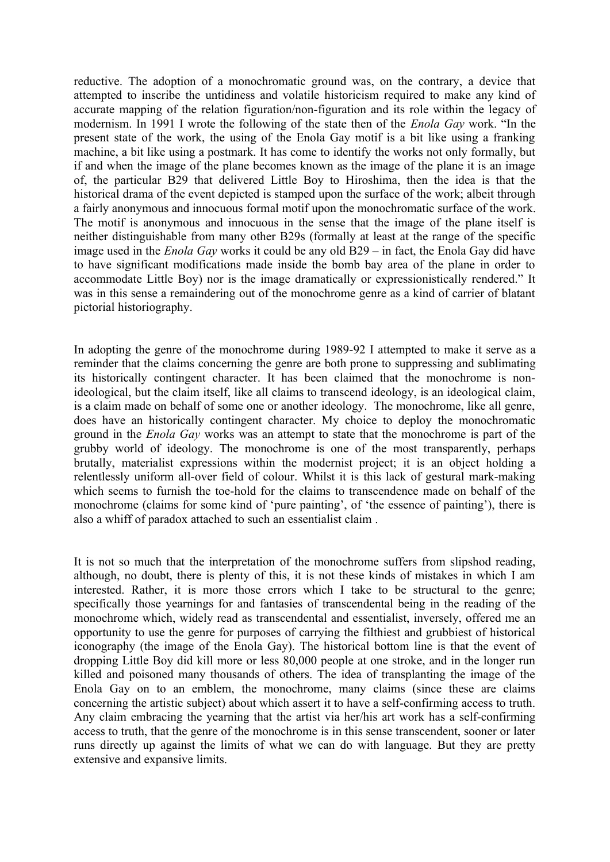reductive. The adoption of a monochromatic ground was, on the contrary, a device that attempted to inscribe the untidiness and volatile historicism required to make any kind of accurate mapping of the relation figuration/non-figuration and its role within the legacy of modernism. In 1991 I wrote the following of the state then of the *Enola Gay* work. "In the present state of the work, the using of the Enola Gay motif is a bit like using a franking machine, a bit like using a postmark. It has come to identify the works not only formally, but if and when the image of the plane becomes known as the image of the plane it is an image of, the particular B29 that delivered Little Boy to Hiroshima, then the idea is that the historical drama of the event depicted is stamped upon the surface of the work; albeit through a fairly anonymous and innocuous formal motif upon the monochromatic surface of the work. The motif is anonymous and innocuous in the sense that the image of the plane itself is neither distinguishable from many other B29s (formally at least at the range of the specific image used in the *Enola Gay* works it could be any old B29 – in fact, the Enola Gay did have to have significant modifications made inside the bomb bay area of the plane in order to accommodate Little Boy) nor is the image dramatically or expressionistically rendered." It was in this sense a remaindering out of the monochrome genre as a kind of carrier of blatant pictorial historiography.

In adopting the genre of the monochrome during 1989-92 I attempted to make it serve as a reminder that the claims concerning the genre are both prone to suppressing and sublimating its historically contingent character. It has been claimed that the monochrome is nonideological, but the claim itself, like all claims to transcend ideology, is an ideological claim, is a claim made on behalf of some one or another ideology. The monochrome, like all genre, does have an historically contingent character. My choice to deploy the monochromatic ground in the *Enola Gay* works was an attempt to state that the monochrome is part of the grubby world of ideology. The monochrome is one of the most transparently, perhaps brutally, materialist expressions within the modernist project; it is an object holding a relentlessly uniform all-over field of colour. Whilst it is this lack of gestural mark-making which seems to furnish the toe-hold for the claims to transcendence made on behalf of the monochrome (claims for some kind of 'pure painting', of 'the essence of painting'), there is also a whiff of paradox attached to such an essentialist claim .

It is not so much that the interpretation of the monochrome suffers from slipshod reading, although, no doubt, there is plenty of this, it is not these kinds of mistakes in which I am interested. Rather, it is more those errors which I take to be structural to the genre; specifically those yearnings for and fantasies of transcendental being in the reading of the monochrome which, widely read as transcendental and essentialist, inversely, offered me an opportunity to use the genre for purposes of carrying the filthiest and grubbiest of historical iconography (the image of the Enola Gay). The historical bottom line is that the event of dropping Little Boy did kill more or less 80,000 people at one stroke, and in the longer run killed and poisoned many thousands of others. The idea of transplanting the image of the Enola Gay on to an emblem, the monochrome, many claims (since these are claims concerning the artistic subject) about which assert it to have a self-confirming access to truth. Any claim embracing the yearning that the artist via her/his art work has a self-confirming access to truth, that the genre of the monochrome is in this sense transcendent, sooner or later runs directly up against the limits of what we can do with language. But they are pretty extensive and expansive limits.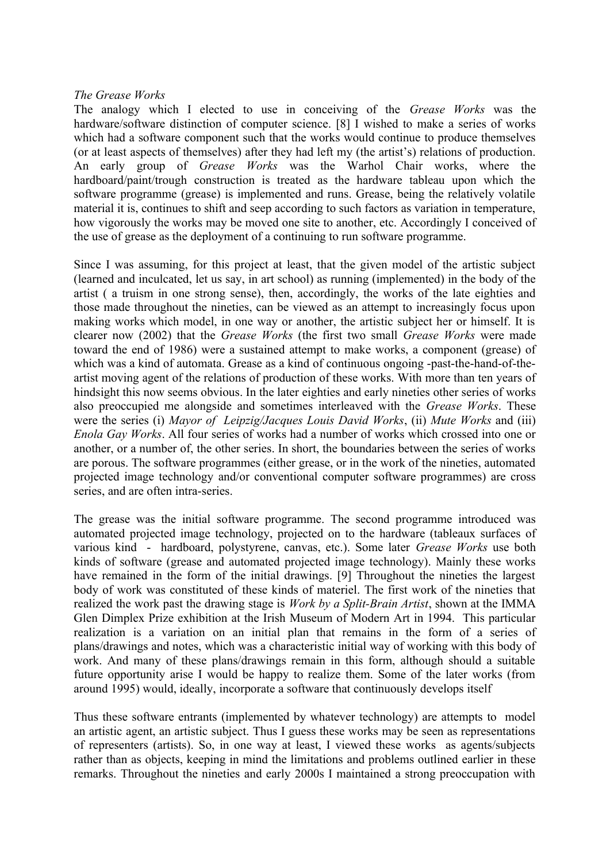# *The Grease Works*

The analogy which I elected to use in conceiving of the *Grease Works* was the hardware/software distinction of computer science. [8] I wished to make a series of works which had a software component such that the works would continue to produce themselves (or at least aspects of themselves) after they had left my (the artist's) relations of production. An early group of *Grease Works* was the Warhol Chair works, where the hardboard/paint/trough construction is treated as the hardware tableau upon which the software programme (grease) is implemented and runs. Grease, being the relatively volatile material it is, continues to shift and seep according to such factors as variation in temperature, how vigorously the works may be moved one site to another, etc. Accordingly I conceived of the use of grease as the deployment of a continuing to run software programme.

Since I was assuming, for this project at least, that the given model of the artistic subject (learned and inculcated, let us say, in art school) as running (implemented) in the body of the artist ( a truism in one strong sense), then, accordingly, the works of the late eighties and those made throughout the nineties, can be viewed as an attempt to increasingly focus upon making works which model, in one way or another, the artistic subject her or himself. It is clearer now (2002) that the *Grease Works* (the first two small *Grease Works* were made toward the end of 1986) were a sustained attempt to make works, a component (grease) of which was a kind of automata. Grease as a kind of continuous ongoing -past-the-hand-of-theartist moving agent of the relations of production of these works. With more than ten years of hindsight this now seems obvious. In the later eighties and early nineties other series of works also preoccupied me alongside and sometimes interleaved with the *Grease Works*. These were the series (i) *Mayor of Leipzig/Jacques Louis David Works*, (ii) *Mute Works* and (iii) *Enola Gay Works*. All four series of works had a number of works which crossed into one or another, or a number of, the other series. In short, the boundaries between the series of works are porous. The software programmes (either grease, or in the work of the nineties, automated projected image technology and/or conventional computer software programmes) are cross series, and are often intra-series.

The grease was the initial software programme. The second programme introduced was automated projected image technology, projected on to the hardware (tableaux surfaces of various kind - hardboard, polystyrene, canvas, etc.). Some later *Grease Works* use both kinds of software (grease and automated projected image technology). Mainly these works have remained in the form of the initial drawings. [9] Throughout the nineties the largest body of work was constituted of these kinds of materiel. The first work of the nineties that realized the work past the drawing stage is *Work by a Split-Brain Artist*, shown at the IMMA Glen Dimplex Prize exhibition at the Irish Museum of Modern Art in 1994. This particular realization is a variation on an initial plan that remains in the form of a series of plans/drawings and notes, which was a characteristic initial way of working with this body of work. And many of these plans/drawings remain in this form, although should a suitable future opportunity arise I would be happy to realize them. Some of the later works (from around 1995) would, ideally, incorporate a software that continuously develops itself

Thus these software entrants (implemented by whatever technology) are attempts to model an artistic agent, an artistic subject. Thus I guess these works may be seen as representations of representers (artists). So, in one way at least, I viewed these works as agents/subjects rather than as objects, keeping in mind the limitations and problems outlined earlier in these remarks. Throughout the nineties and early 2000s I maintained a strong preoccupation with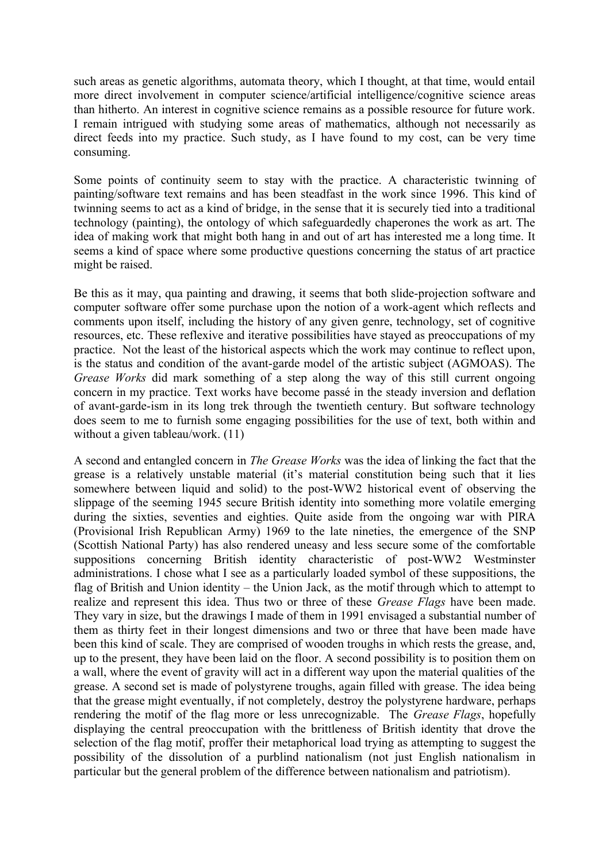such areas as genetic algorithms, automata theory, which I thought, at that time, would entail more direct involvement in computer science/artificial intelligence/cognitive science areas than hitherto. An interest in cognitive science remains as a possible resource for future work. I remain intrigued with studying some areas of mathematics, although not necessarily as direct feeds into my practice. Such study, as I have found to my cost, can be very time consuming.

Some points of continuity seem to stay with the practice. A characteristic twinning of painting/software text remains and has been steadfast in the work since 1996. This kind of twinning seems to act as a kind of bridge, in the sense that it is securely tied into a traditional technology (painting), the ontology of which safeguardedly chaperones the work as art. The idea of making work that might both hang in and out of art has interested me a long time. It seems a kind of space where some productive questions concerning the status of art practice might be raised.

Be this as it may, qua painting and drawing, it seems that both slide-projection software and computer software offer some purchase upon the notion of a work-agent which reflects and comments upon itself, including the history of any given genre, technology, set of cognitive resources, etc. These reflexive and iterative possibilities have stayed as preoccupations of my practice. Not the least of the historical aspects which the work may continue to reflect upon, is the status and condition of the avant-garde model of the artistic subject (AGMOAS). The *Grease Works* did mark something of a step along the way of this still current ongoing concern in my practice. Text works have become passé in the steady inversion and deflation of avant-garde-ism in its long trek through the twentieth century. But software technology does seem to me to furnish some engaging possibilities for the use of text, both within and without a given tableau/work. (11)

A second and entangled concern in *The Grease Works* was the idea of linking the fact that the grease is a relatively unstable material (it's material constitution being such that it lies somewhere between liquid and solid) to the post-WW2 historical event of observing the slippage of the seeming 1945 secure British identity into something more volatile emerging during the sixties, seventies and eighties. Quite aside from the ongoing war with PIRA (Provisional Irish Republican Army) 1969 to the late nineties, the emergence of the SNP (Scottish National Party) has also rendered uneasy and less secure some of the comfortable suppositions concerning British identity characteristic of post-WW2 Westminster administrations. I chose what I see as a particularly loaded symbol of these suppositions, the flag of British and Union identity – the Union Jack, as the motif through which to attempt to realize and represent this idea. Thus two or three of these *Grease Flags* have been made. They vary in size, but the drawings I made of them in 1991 envisaged a substantial number of them as thirty feet in their longest dimensions and two or three that have been made have been this kind of scale. They are comprised of wooden troughs in which rests the grease, and, up to the present, they have been laid on the floor. A second possibility is to position them on a wall, where the event of gravity will act in a different way upon the material qualities of the grease. A second set is made of polystyrene troughs, again filled with grease. The idea being that the grease might eventually, if not completely, destroy the polystyrene hardware, perhaps rendering the motif of the flag more or less unrecognizable. The *Grease Flags*, hopefully displaying the central preoccupation with the brittleness of British identity that drove the selection of the flag motif, proffer their metaphorical load trying as attempting to suggest the possibility of the dissolution of a purblind nationalism (not just English nationalism in particular but the general problem of the difference between nationalism and patriotism).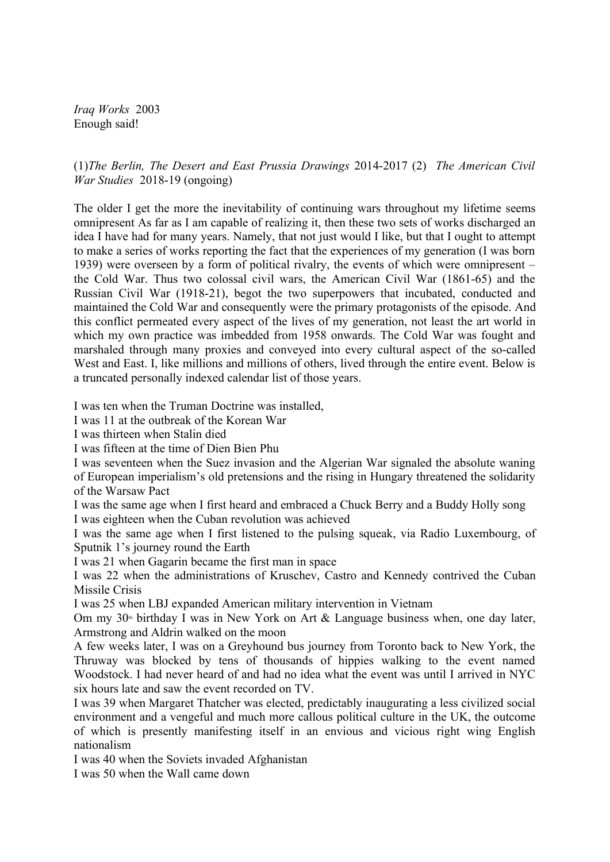*Iraq Works* 2003 Enough said!

(1)*The Berlin, The Desert and East Prussia Drawings* 2014-2017 (2) *The American Civil War Studies* 2018-19 (ongoing)

The older I get the more the inevitability of continuing wars throughout my lifetime seems omnipresent As far as I am capable of realizing it, then these two sets of works discharged an idea I have had for many years. Namely, that not just would I like, but that I ought to attempt to make a series of works reporting the fact that the experiences of my generation (I was born 1939) were overseen by a form of political rivalry, the events of which were omnipresent – the Cold War. Thus two colossal civil wars, the American Civil War (1861-65) and the Russian Civil War (1918-21), begot the two superpowers that incubated, conducted and maintained the Cold War and consequently were the primary protagonists of the episode. And this conflict permeated every aspect of the lives of my generation, not least the art world in which my own practice was imbedded from 1958 onwards. The Cold War was fought and marshaled through many proxies and conveyed into every cultural aspect of the so-called West and East. I, like millions and millions of others, lived through the entire event. Below is a truncated personally indexed calendar list of those years.

I was ten when the Truman Doctrine was installed,

I was 11 at the outbreak of the Korean War

I was thirteen when Stalin died

I was fifteen at the time of Dien Bien Phu

I was seventeen when the Suez invasion and the Algerian War signaled the absolute waning of European imperialism's old pretensions and the rising in Hungary threatened the solidarity of the Warsaw Pact

I was the same age when I first heard and embraced a Chuck Berry and a Buddy Holly song I was eighteen when the Cuban revolution was achieved

I was the same age when I first listened to the pulsing squeak, via Radio Luxembourg, of Sputnik 1's journey round the Earth

I was 21 when Gagarin became the first man in space

I was 22 when the administrations of Kruschev, Castro and Kennedy contrived the Cuban Missile Crisis

I was 25 when LBJ expanded American military intervention in Vietnam

Om my 30<sup>th</sup> birthday I was in New York on Art & Language business when, one day later, Armstrong and Aldrin walked on the moon

A few weeks later, I was on a Greyhound bus journey from Toronto back to New York, the Thruway was blocked by tens of thousands of hippies walking to the event named Woodstock. I had never heard of and had no idea what the event was until I arrived in NYC six hours late and saw the event recorded on TV.

I was 39 when Margaret Thatcher was elected, predictably inaugurating a less civilized social environment and a vengeful and much more callous political culture in the UK, the outcome of which is presently manifesting itself in an envious and vicious right wing English nationalism

I was 40 when the Soviets invaded Afghanistan

I was 50 when the Wall came down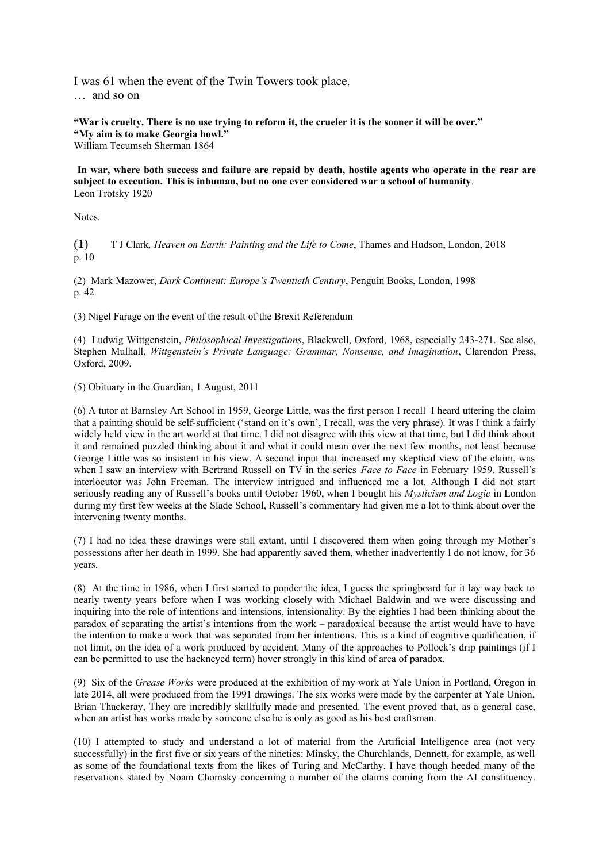I was 61 when the event of the Twin Towers took place. … and so on

**"War is cruelty. There is no use trying to reform it, the crueler it is the sooner it will be over." "My aim is to make Georgia howl."** William Tecumseh Sherman 1864

#### **In war, where both success and failure are repaid by death, hostile agents who operate in the rear are subject to execution. This is inhuman, but no one ever considered war a school of humanity**. Leon Trotsky 1920

Notes.

(1) T J Clark*, Heaven on Earth: Painting and the Life to Come*, Thames and Hudson, London, 2018 p. 10

(2) Mark Mazower, *Dark Continent: Europe's Twentieth Century*, Penguin Books, London, 1998 p. 42

(3) Nigel Farage on the event of the result of the Brexit Referendum

(4) Ludwig Wittgenstein, *Philosophical Investigations*, Blackwell, Oxford, 1968, especially 243-271. See also, Stephen Mulhall, *Wittgenstein's Private Language: Grammar, Nonsense, and Imagination*, Clarendon Press, Oxford, 2009.

(5) Obituary in the Guardian, 1 August, 2011

(6) A tutor at Barnsley Art School in 1959, George Little, was the first person I recall I heard uttering the claim that a painting should be self-sufficient ('stand on it's own', I recall, was the very phrase). It was I think a fairly widely held view in the art world at that time. I did not disagree with this view at that time, but I did think about it and remained puzzled thinking about it and what it could mean over the next few months, not least because George Little was so insistent in his view. A second input that increased my skeptical view of the claim, was when I saw an interview with Bertrand Russell on TV in the series *Face to Face* in February 1959. Russell's interlocutor was John Freeman. The interview intrigued and influenced me a lot. Although I did not start seriously reading any of Russell's books until October 1960, when I bought his *Mysticism and Logic* in London during my first few weeks at the Slade School, Russell's commentary had given me a lot to think about over the intervening twenty months.

(7) I had no idea these drawings were still extant, until I discovered them when going through my Mother's possessions after her death in 1999. She had apparently saved them, whether inadvertently I do not know, for 36 years.

(8) At the time in 1986, when I first started to ponder the idea, I guess the springboard for it lay way back to nearly twenty years before when I was working closely with Michael Baldwin and we were discussing and inquiring into the role of intentions and intensions, intensionality. By the eighties I had been thinking about the paradox of separating the artist's intentions from the work – paradoxical because the artist would have to have the intention to make a work that was separated from her intentions. This is a kind of cognitive qualification, if not limit, on the idea of a work produced by accident. Many of the approaches to Pollock's drip paintings (if I can be permitted to use the hackneyed term) hover strongly in this kind of area of paradox.

(9) Six of the *Grease Works* were produced at the exhibition of my work at Yale Union in Portland, Oregon in late 2014, all were produced from the 1991 drawings. The six works were made by the carpenter at Yale Union, Brian Thackeray, They are incredibly skillfully made and presented. The event proved that, as a general case, when an artist has works made by someone else he is only as good as his best craftsman.

(10) I attempted to study and understand a lot of material from the Artificial Intelligence area (not very successfully) in the first five or six years of the nineties: Minsky, the Churchlands, Dennett, for example, as well as some of the foundational texts from the likes of Turing and McCarthy. I have though heeded many of the reservations stated by Noam Chomsky concerning a number of the claims coming from the AI constituency.